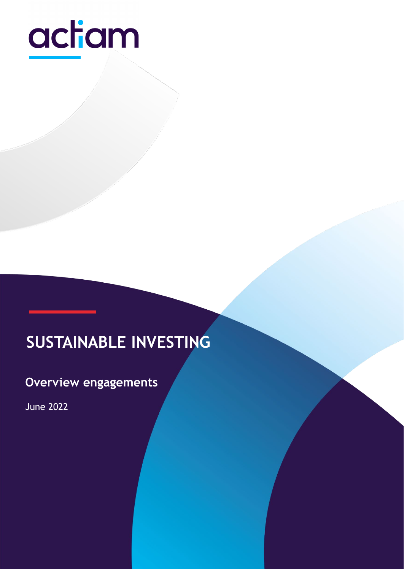

# **SUSTAINABLE INVESTING**

Public 1980 - Public 1980 - Public 1980 - Public 1980 - Public 1980 - Public 1980 - Public 1980 - Public 1980

# **Overview engagements**

June 2022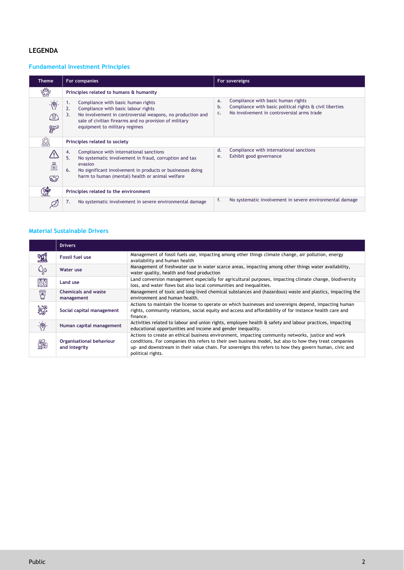## **LEGENDA**

### **Fundamental Investment Principles**

| <b>Theme</b>           | For companies                                                                                                                                                                                                                                        | For sovereigns                                                                                                                                                             |
|------------------------|------------------------------------------------------------------------------------------------------------------------------------------------------------------------------------------------------------------------------------------------------|----------------------------------------------------------------------------------------------------------------------------------------------------------------------------|
| <b>NEBB</b>            | Principles related to humans & humanity                                                                                                                                                                                                              |                                                                                                                                                                            |
| $\mathbb{R}$<br>₾<br>萨 | Compliance with basic human rights<br>ι.<br>Compliance with basic labour rights<br>2.<br>No involvement in controversial weapons, no production and<br>3.<br>sale of civilian firearms and no provision of military<br>equipment to military regimes | Compliance with basic human rights<br>a.<br>Compliance with basic political rights & civil liberties<br>b.<br>No involvement in controversial arms trade<br>$\mathsf{C}$ . |
| 鱻                      | Principles related to society                                                                                                                                                                                                                        |                                                                                                                                                                            |
| ö<br><b>ESS</b>        | Compliance with international sanctions<br>4.<br>5.<br>No systematic involvement in fraud, corruption and tax<br>evasion<br>No significant involvement in products or businesses doing<br>6.<br>harm to human (mental) health or animal welfare      | Compliance with international sanctions<br>d.<br>Exhibit good governance<br>e.                                                                                             |
|                        | Principles related to the environment                                                                                                                                                                                                                |                                                                                                                                                                            |
|                        | No systematic involvement in severe environmental damage<br>7.                                                                                                                                                                                       | f.<br>No systematic involvement in severe environmental damage                                                                                                             |

### **Material Sustainable Drivers**

|                | <b>Drivers</b>                            |                                                                                                                                                                                                                                                                                                                                              |
|----------------|-------------------------------------------|----------------------------------------------------------------------------------------------------------------------------------------------------------------------------------------------------------------------------------------------------------------------------------------------------------------------------------------------|
| 風              | <b>Fossil fuel use</b>                    | Management of fossil fuels use, impacting among other things climate change, air pollution, energy<br>availability and human health                                                                                                                                                                                                          |
| $\mathbb{Q}_0$ | <b>Water use</b>                          | Management of freshwater use in water scarce areas, impacting among other things water availability,<br>water quality, health and food production                                                                                                                                                                                            |
| 鶯              | Land use                                  | Land conversion management especially for agricultural purposes, impacting climate change, biodiversity<br>loss, and water flows but also local communities and inequalities.                                                                                                                                                                |
| 圜              | <b>Chemicals and waste</b><br>management  | Management of toxic and long-lived chemical substances and (hazardous) waste and plastics, impacting the<br>environment and human health.                                                                                                                                                                                                    |
| <b>SSP</b>     | Social capital management                 | Actions to maintain the license to operate on which businesses and sovereigns depend, impacting human<br>rights, community relations, social equity and access and affordability of for instance health care and<br>finance.                                                                                                                 |
| ·衡·            | Human capital management                  | Activities related to labour and union rights, employee health & safety and labour practices, impacting<br>educational opportunities and income and gender inequality.                                                                                                                                                                       |
| &              | Organisational behaviour<br>and integrity | Actions to create an ethical business environment, impacting community networks, justice and work<br>conditions. For companies this refers to their own business model, but also to how they treat companies<br>up- and downstream in their value chain. For sovereigns this refers to how they govern human, civic and<br>political rights. |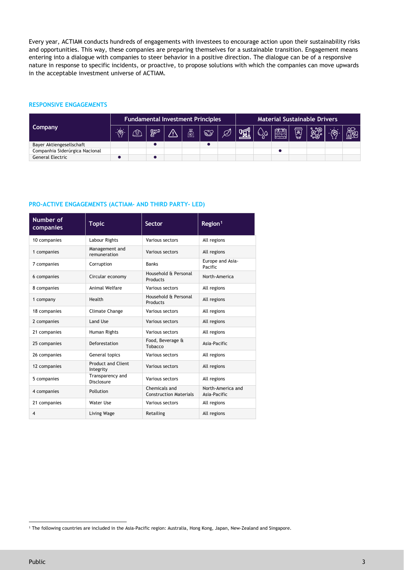Every year, ACTIAM conducts hundreds of engagements with investees to encourage action upon their sustainability risks and opportunities. This way, these companies are preparing themselves for a sustainable transition. Engagement means entering into a dialogue with companies to steer behavior in a positive direction. The dialogue can be of a responsive nature in response to specific incidents, or proactive, to propose solutions with which the companies can move upwards in the acceptable investment universe of ACTIAM.

#### **RESPONSIVE ENGAGEMENTS**

|                                | <b>Fundamental Investment Principles</b> |      |   |    | <b>Material Sustainable Drivers</b> |            |  |  |  |   |         |                |  |         |
|--------------------------------|------------------------------------------|------|---|----|-------------------------------------|------------|--|--|--|---|---------|----------------|--|---------|
| Company                        | 谫.                                       | 11 D | 歸 | Ą. | ö                                   | <b>ESS</b> |  |  |  | 躖 | 風<br>ಠಶ | $\mathbb{R}^2$ |  | e<br>Ka |
| Bayer Aktiengesellschaft       |                                          |      |   |    |                                     |            |  |  |  |   |         |                |  |         |
| Companhia Siderúrgica Nacional |                                          |      |   |    |                                     |            |  |  |  |   |         |                |  |         |
| General Electric               |                                          |      |   |    |                                     |            |  |  |  |   |         |                |  |         |

#### **PRO-ACTIVE ENGAGEMENTS (ACTIAM- AND THIRD PARTY- LED)**

| Number of<br>companies                        | <b>Topic</b>                           | <b>Sector</b>                                  | Region <sup>1</sup>               |  |  |
|-----------------------------------------------|----------------------------------------|------------------------------------------------|-----------------------------------|--|--|
| 10 companies                                  | Labour Rights                          | Various sectors                                | All regions                       |  |  |
| 1 companies                                   | Management and<br>remuneration         | Various sectors                                | All regions                       |  |  |
| 7 companies                                   | Corruption                             | <b>Banks</b>                                   | Europe and Asia-<br>Pacific       |  |  |
| 6 companies                                   | Circular economy                       | Household & Personal<br>Products               | North-America                     |  |  |
| 8 companies                                   | Animal Welfare                         | Various sectors                                | All regions                       |  |  |
| 1 company                                     | Health                                 | Household & Personal<br>Products               | All regions                       |  |  |
| 18 companies                                  | Climate Change                         | Various sectors                                | All regions                       |  |  |
| 2 companies                                   | Land Use                               | Various sectors                                | All regions                       |  |  |
| 21 companies                                  | Human Rights                           | Various sectors                                | All regions                       |  |  |
| 25 companies                                  | Deforestation                          | Food, Beverage &<br>Tobacco                    | Asia-Pacific                      |  |  |
| 26 companies                                  | General topics                         | Various sectors                                | All regions                       |  |  |
| 12 companies                                  | <b>Product and Client</b><br>Integrity | Various sectors                                | All regions                       |  |  |
| Transparency and<br>5 companies<br>Disclosure |                                        | Various sectors                                | All regions                       |  |  |
| 4 companies                                   | Pollution                              | Chemicals and<br><b>Construction Materials</b> | North-America and<br>Asia-Pacific |  |  |
| 21 companies                                  | Water Use                              | Various sectors                                | All regions                       |  |  |
| 4<br>Living Wage                              |                                        | Retailing                                      | All regions                       |  |  |

<span id="page-2-0"></span><sup>1</sup> The following countries are included in the Asia-Pacific region: Australia, Hong Kong, Japan, New-Zealand and Singapore.